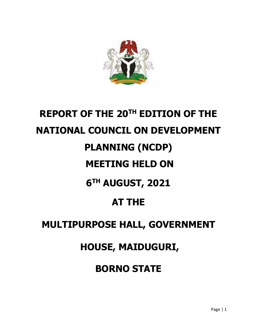

# **REPORT OF THE 20TH EDITION OF THE NATIONAL COUNCIL ON DEVELOPMENT PLANNING (NCDP) MEETING HELD ON 6 TH AUGUST, 2021 AT THE MULTIPURPOSE HALL, GOVERNMENT HOUSE, MAIDUGURI,**

**BORNO STATE**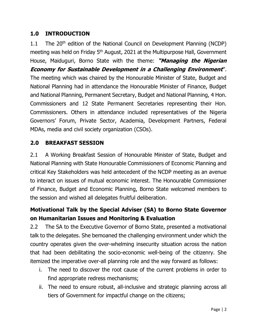# **1.0 INTRODUCTION**

1.1 The 20<sup>th</sup> edition of the National Council on Development Planning (NCDP) meeting was held on Friday 5<sup>th</sup> August, 2021 at the Multipurpose Hall, Government House, Maiduguri, Borno State with the theme: **"Managing the Nigerian Economy for Sustainable Development in a Challenging Environment**". The meeting which was chaired by the Honourable Minister of State, Budget and National Planning had in attendance the Honourable Minister of Finance, Budget and National Planning, Permanent Secretary, Budget and National Planning, 4 Hon. Commissioners and 12 State Permanent Secretaries representing their Hon. Commissioners. Others in attendance included representatives of the Nigeria Governors' Forum, Private Sector, Academia, Development Partners, Federal MDAs, media and civil society organization (CSOs).

# **2.0 BREAKFAST SESSION**

2.1 A Working Breakfast Session of Honourable Minister of State, Budget and National Planning with State Honourable Commissioners of Economic Planning and critical Key Stakeholders was held antecedent of the NCDP meeting as an avenue to interact on issues of mutual economic interest. The Honourable Commissioner of Finance, Budget and Economic Planning, Borno State welcomed members to the session and wished all delegates fruitful deliberation.

# **Motivational Talk by the Special Adviser (SA) to Borno State Governor on Humanitarian Issues and Monitoring & Evaluation**

2.2 The SA to the Executive Governor of Borno State, presented a motivational talk to the delegates. She bemoaned the challenging environment under which the country operates given the over-whelming insecurity situation across the nation that had been debilitating the socio-economic well-being of the citizenry. She itemized the imperative over-all planning role and the way forward as follows:

- i. The need to discover the root cause of the current problems in order to find appropriate redress mechanisms;
- ii. The need to ensure robust, all-inclusive and strategic planning across all tiers of Government for impactful change on the citizens;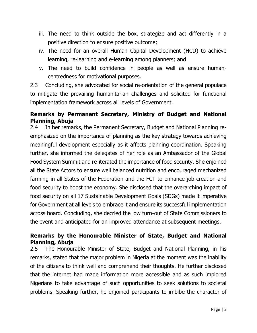- iii. The need to think outside the box, strategize and act differently in a positive direction to ensure positive outcome;
- iv. The need for an overall Human Capital Development (HCD) to achieve learning, re-learning and e-learning among planners; and
- v. The need to build confidence in people as well as ensure humancentredness for motivational purposes.

2.3 Concluding, she advocated for social re-orientation of the general populace to mitigate the prevailing humanitarian challenges and solicited for functional implementation framework across all levels of Government.

#### **Remarks by Permanent Secretary, Ministry of Budget and National Planning, Abuja**

2.4 In her remarks, the Permanent Secretary, Budget and National Planning reemphasized on the importance of planning as the key strategy towards achieving meaningful development especially as it affects planning coordination. Speaking further, she informed the delegates of her role as an Ambassador of the Global Food System Summit and re-iterated the importance of food security. She enjoined all the State Actors to ensure well balanced nutrition and encouraged mechanized farming in all States of the Federation and the FCT to enhance job creation and food security to boost the economy. She disclosed that the overarching impact of food security on all 17 Sustainable Development Goals (SDGs) made it imperative for Government at all levels to embrace it and ensure its successful implementation across board. Concluding, she decried the low turn-out of State Commissioners to the event and anticipated for an improved attendance at subsequent meetings.

#### **Remarks by the Honourable Minister of State, Budget and National Planning, Abuja**

2.5 The Honourable Minister of State, Budget and National Planning, in his remarks, stated that the major problem in Nigeria at the moment was the inability of the citizens to think well and comprehend their thoughts. He further disclosed that the internet had made information more accessible and as such implored Nigerians to take advantage of such opportunities to seek solutions to societal problems. Speaking further, he enjoined participants to imbibe the character of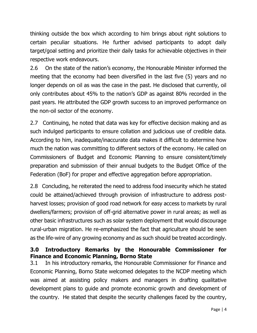thinking outside the box which according to him brings about right solutions to certain peculiar situations. He further advised participants to adopt daily target/goal setting and prioritize their daily tasks for achievable objectives in their respective work endeavours.

2.6 On the state of the nation's economy, the Honourable Minister informed the meeting that the economy had been diversified in the last five (5) years and no longer depends on oil as was the case in the past. He disclosed that currently, oil only contributes about 45% to the nation's GDP as against 80% recorded in the past years. He attributed the GDP growth success to an improved performance on the non-oil sector of the economy.

2.7 Continuing, he noted that data was key for effective decision making and as such indulged participants to ensure collation and judicious use of credible data. According to him, inadequate/inaccurate data makes it difficult to determine how much the nation was committing to different sectors of the economy. He called on Commissioners of Budget and Economic Planning to ensure consistent/timely preparation and submission of their annual budgets to the Budget Office of the Federation (BoF) for proper and effective aggregation before appropriation.

2.8 Concluding, he reiterated the need to address food insecurity which he stated could be attained/achieved through provision of infrastructure to address postharvest losses; provision of good road network for easy access to markets by rural dwellers/farmers; provision of off-grid alternative power in rural areas; as well as other basic infrastructures such as solar system deployment that would discourage rural-urban migration. He re-emphasized the fact that agriculture should be seen as the life-wire of any growing economy and as such should be treated accordingly.

# **3.0 Introductory Remarks by the Honourable Commissioner for Finance and Economic Planning, Borno State**

3.1 In his introductory remarks, the Honourable Commissioner for Finance and Economic Planning, Borno State welcomed delegates to the NCDP meeting which was aimed at assisting policy makers and managers in drafting qualitative development plans to guide and promote economic growth and development of the country. He stated that despite the security challenges faced by the country,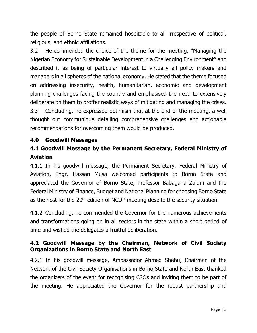the people of Borno State remained hospitable to all irrespective of political, religious, and ethnic affiliations.

3.2 He commended the choice of the theme for the meeting, "Managing the Nigerian Economy for Sustainable Development in a Challenging Environment'' and described it as being of particular interest to virtually all policy makers and managers in all spheres of the national economy. He stated that the theme focused on addressing insecurity, health, humanitarian, economic and development planning challenges facing the country and emphasised the need to extensively deliberate on them to proffer realistic ways of mitigating and managing the crises. 3.3 Concluding, he expressed optimism that at the end of the meeting, a well thought out communique detailing comprehensive challenges and actionable recommendations for overcoming them would be produced.

#### **4.0 Goodwill Messages**

# **4.1 Goodwill Message by the Permanent Secretary, Federal Ministry of Aviation**

4.1.1 In his goodwill message, the Permanent Secretary, Federal Ministry of Aviation, Engr. Hassan Musa welcomed participants to Borno State and appreciated the Governor of Borno State, Professor Babagana Zulum and the Federal Ministry of Finance, Budget and National Planning for choosing Borno State as the host for the 20<sup>th</sup> edition of NCDP meeting despite the security situation.

4.1.2 Concluding, he commended the Governor for the numerous achievements and transformations going on in all sectors in the state within a short period of time and wished the delegates a fruitful deliberation.

#### **4.2 Goodwill Message by the Chairman, Network of Civil Society Organizations in Borno State and North East**

4.2.1 In his goodwill message, Ambassador Ahmed Shehu, Chairman of the Network of the Civil Society Organisations in Borno State and North East thanked the organizers of the event for recognising CSOs and inviting them to be part of the meeting. He appreciated the Governor for the robust partnership and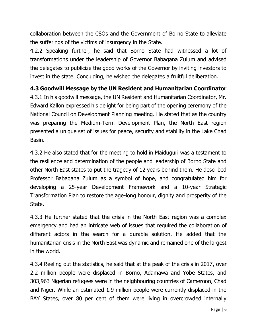collaboration between the CSOs and the Government of Borno State to alleviate the sufferings of the victims of insurgency in the State.

4.2.2 Speaking further, he said that Borno State had witnessed a lot of transformations under the leadership of Governor Babagana Zulum and advised the delegates to publicize the good works of the Governor by inviting investors to invest in the state. Concluding, he wished the delegates a fruitful deliberation.

# **4.3 Goodwill Message by the UN Resident and Humanitarian Coordinator**

4.3.1 In his goodwill message, the UN Resident and Humanitarian Coordinator, Mr. Edward Kallon expressed his delight for being part of the opening ceremony of the National Council on Development Planning meeting. He stated that as the country was preparing the Medium-Term Development Plan, the North East region presented a unique set of issues for peace, security and stability in the Lake Chad Basin.

4.3.2 He also stated that for the meeting to hold in Maiduguri was a testament to the resilience and determination of the people and leadership of Borno State and other North East states to put the tragedy of 12 years behind them. He described Professor Babagana Zulum as a symbol of hope, and congratulated him for developing a 25-year Development Framework and a 10-year Strategic Transformation Plan to restore the age-long honour, dignity and prosperity of the State.

4.3.3 He further stated that the crisis in the North East region was a complex emergency and had an intricate web of issues that required the collaboration of different actors in the search for a durable solution. He added that the humanitarian crisis in the North East was dynamic and remained one of the largest in the world.

4.3.4 Reeling out the statistics, he said that at the peak of the crisis in 2017, over 2.2 million people were displaced in Borno, Adamawa and Yobe States, and 303,963 Nigerian refugees were in the neighbouring countries of Cameroon, Chad and Niger. While an estimated 1.9 million people were currently displaced in the BAY States, over 80 per cent of them were living in overcrowded internally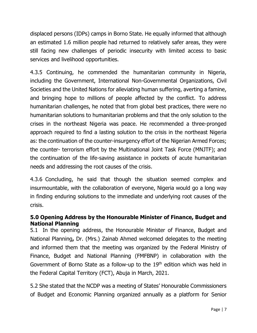displaced persons (IDPs) camps in Borno State. He equally informed that although an estimated 1.6 million people had returned to relatively safer areas, they were still facing new challenges of periodic insecurity with limited access to basic services and livelihood opportunities.

4.3.5 Continuing, he commended the humanitarian community in Nigeria, including the Government, International Non-Governmental Organizations, Civil Societies and the United Nations for alleviating human suffering, averting a famine, and bringing hope to millions of people affected by the conflict. To address humanitarian challenges, he noted that from global best practices, there were no humanitarian solutions to humanitarian problems and that the only solution to the crises in the northeast Nigeria was peace. He recommended a three-pronged approach required to find a lasting solution to the crisis in the northeast Nigeria as: the continuation of the counter-insurgency effort of the Nigerian Armed Forces; the counter- terrorism effort by the Multinational Joint Task Force (MNJTF); and the continuation of the life-saving assistance in pockets of acute humanitarian needs and addressing the root causes of the crisis.

4.3.6 Concluding, he said that though the situation seemed complex and insurmountable, with the collaboration of everyone, Nigeria would go a long way in finding enduring solutions to the immediate and underlying root causes of the crisis.

# **5.0 Opening Address by the Honourable Minister of Finance, Budget and National Planning**

5.1In the opening address, the Honourable Minister of Finance, Budget and National Planning**,** Dr. (Mrs.) Zainab Ahmed welcomed delegates to the meeting and informed them that the meeting was organized by the Federal Ministry of Finance, Budget and National Planning (FMFBNP) in collaboration with the Government of Borno State as a follow-up to the 19th edition which was held in the Federal Capital Territory (FCT), Abuja in March, 2021.

5.2 She stated that the NCDP was a meeting of States' Honourable Commissioners of Budget and Economic Planning organized annually as a platform for Senior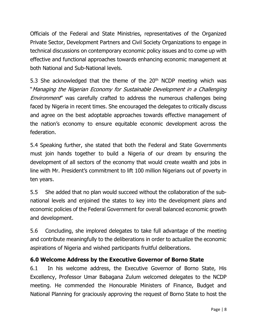Officials of the Federal and State Ministries, representatives of the Organized Private Sector, Development Partners and Civil Society Organizations to engage in technical discussions on contemporary economic policy issues and to come up with effective and functional approaches towards enhancing economic management at both National and Sub-National levels.

5.3 She acknowledged that the theme of the  $20<sup>th</sup>$  NCDP meeting which was "Managing the Nigerian Economy for Sustainable Development in a Challenging Environment" was carefully crafted to address the numerous challenges being faced by Nigeria in recent times. She encouraged the delegates to critically discuss and agree on the best adoptable approaches towards effective management of the nation's economy to ensure equitable economic development across the federation.

5.4 Speaking further, she stated that both the Federal and State Governments must join hands together to build a Nigeria of our dream by ensuring the development of all sectors of the economy that would create wealth and jobs in line with Mr. President's commitment to lift 100 million Nigerians out of poverty in ten years.

5.5 She added that no plan would succeed without the collaboration of the subnational levels and enjoined the states to key into the development plans and economic policies of the Federal Government for overall balanced economic growth and development.

5.6 Concluding, she implored delegates to take full advantage of the meeting and contribute meaningfully to the deliberations in order to actualize the economic aspirations of Nigeria and wished participants fruitful deliberations.

# **6.0 Welcome Address by the Executive Governor of Borno State**

6.1 In his welcome address, the Executive Governor of Borno State, His Excellency, Professor Umar Babagana Zulum welcomed delegates to the NCDP meeting. He commended the Honourable Ministers of Finance, Budget and National Planning for graciously approving the request of Borno State to host the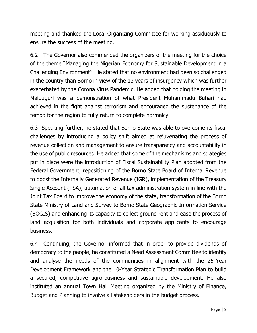meeting and thanked the Local Organizing Committee for working assiduously to ensure the success of the meeting.

6.2 The Governor also commended the organizers of the meeting for the choice of the theme "Managing the Nigerian Economy for Sustainable Development in a Challenging Environment". He stated that no environment had been so challenged in the country than Borno in view of the 13 years of insurgency which was further exacerbated by the Corona Virus Pandemic. He added that holding the meeting in Maiduguri was a demonstration of what President Muhammadu Buhari had achieved in the fight against terrorism and encouraged the sustenance of the tempo for the region to fully return to complete normalcy.

6.3 Speaking further, he stated that Borno State was able to overcome its fiscal challenges by introducing a policy shift aimed at rejuvenating the process of revenue collection and management to ensure transparency and accountability in the use of public resources. He added that some of the mechanisms and strategies put in place were the introduction of Fiscal Sustainability Plan adopted from the Federal Government, repositioning of the Borno State Board of Internal Revenue to boost the Internally Generated Revenue (IGR), implementation of the Treasury Single Account (TSA), automation of all tax administration system in line with the Joint Tax Board to improve the economy of the state, transformation of the Borno State Ministry of Land and Survey to Borno State Geographic Information Service (BOGIS) and enhancing its capacity to collect ground rent and ease the process of land acquisition for both individuals and corporate applicants to encourage business.

6.4 Continuing, the Governor informed that in order to provide dividends of democracy to the people, he constituted a Need Assessment Committee to identify and analyse the needs of the communities in alignment with the 25-Year Development Framework and the 10-Year Strategic Transformation Plan to build a secured, competitive agro-business and sustainable development. He also instituted an annual Town Hall Meeting organized by the Ministry of Finance, Budget and Planning to involve all stakeholders in the budget process.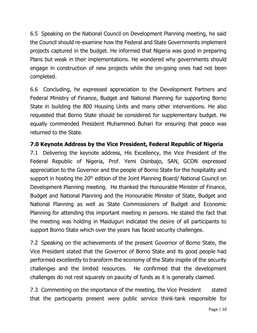6.5 Speaking on the National Council on Development Planning meeting, he said the Council should re-examine how the Federal and State Governments implement projects captured in the budget. He informed that Nigeria was good in preparing Plans but weak in their implementations. He wondered why governments should engage in construction of new projects while the on-going ones had not been completed.

6.6 Concluding, he expressed appreciation to the Development Partners and Federal Ministry of Finance, Budget and National Planning for supporting Borno State in building the 800 Housing Units and many other interventions. He also requested that Borno State should be considered for supplementary budget. He equally commended President Muhammed Buhari for ensuring that peace was returned to the State.

# **7.0 Keynote Address by the Vice President, Federal Republic of Nigeria**

7.1 Delivering the keynote address, His Excellency, the Vice President of the Federal Republic of Nigeria, Prof. Yemi Osinbajo, SAN, GCON expressed appreciation to the Governor and the people of Borno State for the hospitality and support in hosting the 20<sup>th</sup> edition of the Joint Planning Board/ National Council on Development Planning meeting. He thanked the Honourable Minister of Finance, Budget and National Planning and the Honourable Minister of State, Budget and National Planning as well as State Commissioners of Budget and Economic Planning for attending this important meeting in persons. He stated the fact that the meeting was holding in Maiduguri indicated the desire of all participants to support Borno State which over the years has faced security challenges.

7.2 Speaking on the achievements of the present Governor of Borno State, the Vice President stated that the Governor of Borno State and its good people had performed excellently to transform the economy of the State inspite of the security challenges and the limited resources. He confirmed that the development challenges do not rest squarely on paucity of funds as it is generally claimed.

7.3 Commenting on the importance of the meeting, the Vice President stated that the participants present were public service think-tank responsible for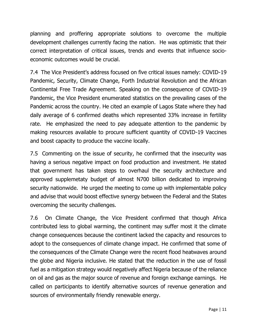planning and proffering appropriate solutions to overcome the multiple development challenges currently facing the nation. He was optimistic that their correct interpretation of critical issues, trends and events that influence socioeconomic outcomes would be crucial.

7.4 The Vice President's address focused on five critical issues namely: COVID-19 Pandemic, Security, Climate Change, Forth Industrial Revolution and the African Continental Free Trade Agreement. Speaking on the consequence of COVID-19 Pandemic, the Vice President enumerated statistics on the prevailing cases of the Pandemic across the country. He cited an example of Lagos State where they had daily average of 6 confirmed deaths which represented 33% increase in fertility rate. He emphasized the need to pay adequate attention to the pandemic by making resources available to procure sufficient quantity of COVID-19 Vaccines and boost capacity to produce the vaccine locally.

7.5 Commenting on the issue of security, he confirmed that the insecurity was having a serious negative impact on food production and investment. He stated that government has taken steps to overhaul the security architecture and approved supplemetaty budget of almost N700 billion dedicated to improving security nationwide. He urged the meeting to come up with implementable policy and advise that would boost effective synergy between the Federal and the States overcoming the security challenges.

7.6 On Climate Change, the Vice President confirmed that though Africa contributed less to global warming, the continent may suffer most it the climate change consequences because the continent lacked the capacity and resources to adopt to the consequences of climate change impact. He confirmed that some of the consequences of the Climate Change were the recent flood heatwaves around the globe and Nigeria inclusive. He stated that the reduction in the use of fossil fuel as a mitigation strategy would negatively affect Nigeria because of the reliance on oil and gas as the major source of revenue and foreign exchange earnings. He called on participants to identify alternative sources of revenue generation and sources of environmentally friendly renewable energy.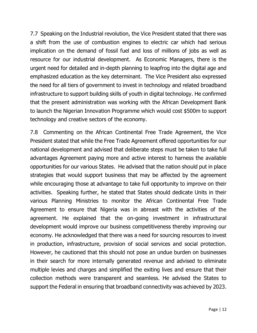7.7 Speaking on the Industrial revolution, the Vice President stated that there was a shift from the use of combustion engines to electric car which had serious implication on the demand of fossil fuel and loss of millions of jobs as well as resource for our industrial development. As Economic Managers, there is the urgent need for detailed and in-depth planning to leapfrog into the digital age and emphasized education as the key determinant. The Vice President also expressed the need for all tiers of government to invest in technology and related broadband infrastructure to support building skills of youth in digital technology. He confirmed that the present administration was working with the African Development Bank to launch the Nigerian Innovation Programme which would cost \$500m to support technology and creative sectors of the economy.

7.8 Commenting on the African Continental Free Trade Agreement, the Vice President stated that while the Free Trade Agreement offered opportunities for our national development and advised that deliberate steps must be taken to take full advantages Agreement paying more and active interest to harness the available opportunities for our various States. He advised that the nation should put in place strategies that would support business that may be affected by the agreement while encouraging those at advantage to take full opportunity to improve on their activities. Speaking further, he stated that States should dedicate Units in their various Planning Ministries to monitor the African Continental Free Trade Agreement to ensure that Nigeria was in abreast with the activities of the agreement. He explained that the on-going investment in infrastructural development would improve our business competitiveness thereby improving our economy. He acknowledged that there was a need for sourcing resources to invest in production, infrastructure, provision of social services and social protection. However, he cautioned that this should not pose an undue burden on businesses in their search for more internally generated revenue and advised to eliminate multiple levies and charges and simplified the exiting lives and ensure that their collection methods were transparent and seamless. He advised the States to support the Federal in ensuring that broadband connectivity was achieved by 2023.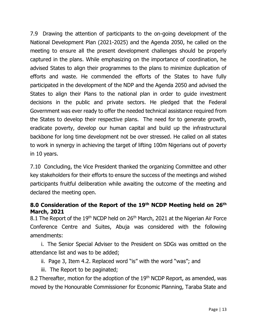7.9 Drawing the attention of participants to the on-going development of the National Development Plan (2021-2025) and the Agenda 2050, he called on the meeting to ensure all the present development challenges should be properly captured in the plans. While emphasizing on the importance of coordination, he advised States to align their programmes to the plans to minimize duplication of efforts and waste. He commended the efforts of the States to have fully participated in the development of the NDP and the Agenda 2050 and advised the States to align their Plans to the national plan in order to guide investment decisions in the public and private sectors. He pledged that the Federal Government was ever ready to offer the needed technical assistance required from the States to develop their respective plans. The need for to generate growth, eradicate poverty, develop our human capital and build up the infrastructural backbone for long time development not be over stressed. He called on all states to work in synergy in achieving the target of lifting 100m Nigerians out of poverty in 10 years.

7.10 Concluding, the Vice President thanked the organizing Committee and other key stakeholders for their efforts to ensure the success of the meetings and wished participants fruitful deliberation while awaiting the outcome of the meeting and declared the meeting open.

#### **8.0 Consideration of the Report of the 19th NCDP Meeting held on 26th March, 2021**

8.1 The Report of the 19<sup>th</sup> NCDP held on 26<sup>th</sup> March, 2021 at the Nigerian Air Force Conference Centre and Suites, Abuja was considered with the following amendments:

i. The Senior Special Adviser to the President on SDGs was omitted on the attendance list and was to be added;

- ii. Page 3, Item 4.2. Replaced word "is" with the word "was"; and
- iii. The Report to be paginated;

8.2 Thereafter, motion for the adoption of the 19<sup>th</sup> NCDP Report, as amended, was moved by the Honourable Commissioner for Economic Planning, Taraba State and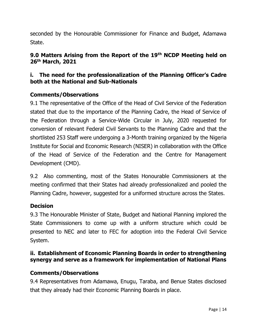seconded by the Honourable Commissioner for Finance and Budget, Adamawa State.

#### **9.0 Matters Arising from the Report of the 19th NCDP Meeting held on 26th March, 2021**

#### **i. The need for the professionalization of the Planning Officer's Cadre both at the National and Sub-Nationals**

#### **Comments/Observations**

9.1 The representative of the Office of the Head of Civil Service of the Federation stated that due to the importance of the Planning Cadre, the Head of Service of the Federation through a Service-Wide Circular in July, 2020 requested for conversion of relevant Federal Civil Servants to the Planning Cadre and that the shortlisted 253 Staff were undergoing a 3-Month training organized by the Nigeria Institute for Social and Economic Research (NISER) in collaboration with the Office of the Head of Service of the Federation and the Centre for Management Development (CMD).

9.2 Also commenting, most of the States Honourable Commissioners at the meeting confirmed that their States had already professionalized and pooled the Planning Cadre, however, suggested for a uniformed structure across the States.

#### **Decision**

9.3 The Honourable Minister of State, Budget and National Planning implored the State Commissioners to come up with a uniform structure which could be presented to NEC and later to FEC for adoption into the Federal Civil Service System.

#### **ii. Establishment of Economic Planning Boards in order to strengthening synergy and serve as a framework for implementation of National Plans**

#### **Comments/Observations**

9.4 Representatives from Adamawa, Enugu, Taraba, and Benue States disclosed that they already had their Economic Planning Boards in place.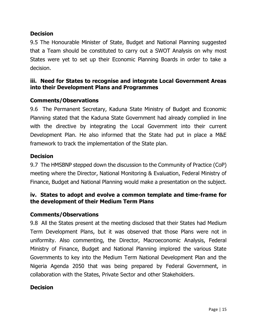#### **Decision**

9.5 The Honourable Minister of State, Budget and National Planning suggested that a Team should be constituted to carry out a SWOT Analysis on why most States were yet to set up their Economic Planning Boards in order to take a decision.

#### **iii. Need for States to recognise and integrate Local Government Areas into their Development Plans and Programmes**

#### **Comments/Observations**

9.6 The Permanent Secretary, Kaduna State Ministry of Budget and Economic Planning stated that the Kaduna State Government had already complied in line with the directive by integrating the Local Government into their current Development Plan. He also informed that the State had put in place a M&E framework to track the implementation of the State plan.

#### **Decision**

9.7 The HMSBNP stepped down the discussion to the Community of Practice (CoP) meeting where the Director, National Monitoring & Evaluation, Federal Ministry of Finance, Budget and National Planning would make a presentation on the subject.

#### **iv. States to adopt and evolve a common template and time-frame for the development of their Medium Term Plans**

#### **Comments/Observations**

9.8 All the States present at the meeting disclosed that their States had Medium Term Development Plans, but it was observed that those Plans were not in uniformity. Also commenting, the Director, Macroeconomic Analysis, Federal Ministry of Finance, Budget and National Planning implored the various State Governments to key into the Medium Term National Development Plan and the Nigeria Agenda 2050 that was being prepared by Federal Government, in collaboration with the States, Private Sector and other Stakeholders.

#### **Decision**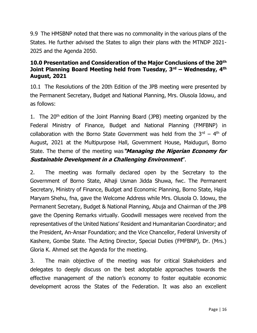9.9 The HMSBNP noted that there was no commonality in the various plans of the States. He further advised the States to align their plans with the MTNDP 2021- 2025 and the Agenda 2050.

#### **10.0 Presentation and Consideration of the Major Conclusions of the 20th Joint Planning Board Meeting held from Tuesday, 3rd – Wednesday, 4th August, 2021**

10.1 The Resolutions of the 20th Edition of the JPB meeting were presented by the Permanent Secretary, Budget and National Planning, Mrs. Olusola Idowu, and as follows:

1. The 20<sup>th</sup> edition of the Joint Planning Board (JPB) meeting organized by the Federal Ministry of Finance, Budget and National Planning (FMFBNP) in collaboration with the Borno State Government was held from the  $3<sup>rd</sup> - 4<sup>th</sup>$  of August, 2021 at the Multipurpose Hall, Government House, Maiduguri, Borno State. The theme of the meeting was**"Managing the Nigerian Economy for Sustainable Development in a Challenging Environment**".

2. The meeting was formally declared open by the Secretary to the Government of Borno State, Alhaji Usman Jidda Shuwa, fwc. The Permanent Secretary, Ministry of Finance, Budget and Economic Planning, Borno State, Hajia Maryam Shehu, fna, gave the Welcome Address while Mrs. Olusola O. Idowu, the Permanent Secretary, Budget & National Planning, Abuja and Chairman of the JPB gave the Opening Remarks virtually. Goodwill messages were received from the representatives of the United Nations' Resident and Humanitarian Coordinator; and the President, An-Ansar Foundation; and the Vice Chancellor, Federal University of Kashere, Gombe State. The Acting Director, Special Duties (FMFBNP), Dr. (Mrs.) Gloria K. Ahmed set the Agenda for the meeting.

3. The main objective of the meeting was for critical Stakeholders and delegates to deeply discuss on the best adoptable approaches towards the effective management of the nation's economy to foster equitable economic development across the States of the Federation. It was also an excellent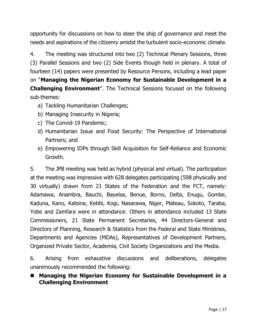opportunity for discussions on how to steer the ship of governance and meet the needs and aspirations of the citizenry amidst the turbulent socio-economic climate.

4. The meeting was structured into two (2) Technical Plenary Sessions, three (3) Parallel Sessions and two (2) Side Events though held in plenary. A total of fourteen (14) papers were presented by Resource Persons, including a lead paper on "**Managing the Nigerian Economy for Sustainable Development in a Challenging Environment**". The Technical Sessions focused on the following sub-themes:

- a) Tackling Humanitarian Challenges;
- b) Managing Insecurity in Nigeria;
- c) The Convid-19 Pandemic;
- d) Humanitarian Issue and Food Security: The Perspective of International Partners; and
- e) Empowering IDPs through Skill Acquisition for Self-Reliance and Economic Growth.

5. The JPB meeting was held as hybrid (physical and virtual). The participation at the meeting was impressive with 628 delegates participating (598 physically and 30 virtually) drawn from 21 States of the Federation and the FCT, namely: Adamawa, Anambra, Bauchi, Bayelsa, Benue, Borno, Delta, Enugu, Gombe, Kaduna, Kano, Katsina, Kebbi, Kogi, Nasarawa, Niger, Plateau, Sokoto, Taraba, Yobe and Zamfara were in attendance. Others in attendance included 13 State Commissioners, 21 State Permanent Secretaries, 44 Directors-General and Directors of Planning, Research & Statistics from the Federal and State Ministries, Departments and Agencies (MDAs), Representatives of Development Partners, Organized Private Sector, Academia, Civil Society Organizations and the Media.

6. Arising from exhaustive discussions and deliberations, delegates unanimously recommended the following:

■ Managing the Nigerian Economy for Sustainable Development in a **Challenging Environment**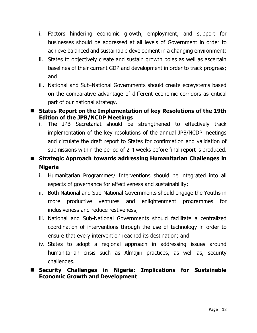- i. Factors hindering economic growth, employment, and support for businesses should be addressed at all levels of Government in order to achieve balanced and sustainable development in a changing environment;
- ii. States to objectively create and sustain growth poles as well as ascertain baselines of their current GDP and development in order to track progress; and
- iii. National and Sub-National Governments should create ecosystems based on the comparative advantage of different economic corridors as critical part of our national strategy.

# **Status Report on the Implementation of key Resolutions of the 19th Edition of the JPB/NCDP Meetings**

i. The JPB Secretariat should be strengthened to effectively track implementation of the key resolutions of the annual JPB/NCDP meetings and circulate the draft report to States for confirmation and validation of submissions within the period of 2-4 weeks before final report is produced.

# **Strategic Approach towards addressing Humanitarian Challenges in Nigeria**

- i. Humanitarian Programmes/ Interventions should be integrated into all aspects of governance for effectiveness and sustainability;
- ii. Both National and Sub-National Governments should engage the Youths in more productive ventures and enlightenment programmes for inclusiveness and reduce restiveness;
- iii. National and Sub-National Governments should facilitate a centralized coordination of interventions through the use of technology in order to ensure that every intervention reached its destination; and
- iv. States to adopt a regional approach in addressing issues around humanitarian crisis such as Almajiri practices, as well as, security challenges.

# **Security Challenges in Nigeria: Implications for Sustainable Economic Growth and Development**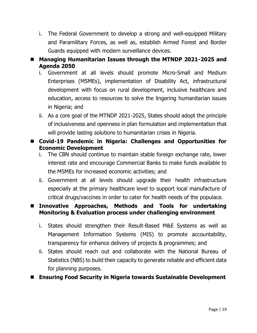i. The Federal Government to develop a strong and well-equipped Military and Paramilitary Forces, as well as, establish Armed Forest and Border Guards equipped with modern surveillance devices.

# **Managing Humanitarian Issues through the MTNDP 2021-2025 and Agenda 2050**

- i. Government at all levels should promote Micro-Small and Medium Enterprises (MSMEs), implementation of Disability Act, infrastructural development with focus on rural development, inclusive healthcare and education, access to resources to solve the lingering humanitarian issues in Nigeria; and
- ii. As a core goal of the MTNDP 2021-2025, States should adopt the principle of inclusiveness and openness in plan formulation and implementation that will provide lasting solutions to humanitarian crises in Nigeria.

# **Covid-19 Pandemic in Nigeria: Challenges and Opportunities for Economic Development**

- i. The CBN should continue to maintain stable foreign exchange rate, lower interest rate and encourage Commercial Banks to make funds available to the MSMEs for increased economic activities; and
- ii. Government at all levels should upgrade their health infrastructure especially at the primary healthcare level to support local manufacture of critical drugs/vaccines in order to cater for health needs of the populace.

# **Innovative Approaches, Methods and Tools for undertaking Monitoring & Evaluation process under challenging environment**

- i. States should strengthen their Result-Based M&E Systems as well as Management Information Systems (MIS) to promote accountability, transparency for enhance delivery of projects & programmes; and
- ii. States should reach out and collaborate with the National Bureau of Statistics (NBS) to build their capacity to generate reliable and efficient data for planning purposes.
- **Ensuring Food Security in Nigeria towards Sustainable Development**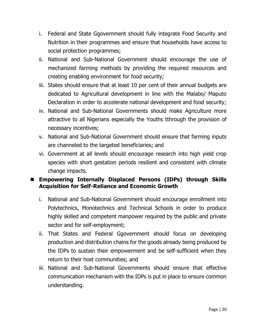- i. Federal and State Ggovernment should fully integrate Food Security and Nutrition in their programmes and ensure that households have access to social protection programmes;
- ii. National and Sub-National Government should encourage the use of mechanized farming methods by providing the required resources and creating enabling environment for food security;
- iii. States should ensure that at least 10 per cent of their annual budgets are dedicated to Agricultural development in line with the Malabo/ Maputo Declaration in order to accelerate national development and food security;
- iv. National and Sub-National Governments should make Agriculture more attractive to all Nigerians especially the Youths tthrough the provision of necessary incentives;
- v. National and Sub-National Government should ensure that farming inputs are channeled to the targeted beneficiaries; and
- vi. Government at all levels should encourage research into high yield crop species with short gestation periods resilient and consistent with climate change impacts.

# **Empowering Internally Displaced Persons (IDPs) through Skills Acquisition for Self-Reliance and Economic Growth**

- i. National and Sub-National Government should encourage enrollment into Polytechnics, Monotechnics and Technical Schools in order to produce highly skilled and competent manpower required by the public and private sector and for self-employment;
- ii. That States and Federal Ggovernment should focus on developing production and distribution chains for the goods already being produced by the IDPs to sustain their empowerment and be self-sufficient when they return to their host communities; and
- iii. National and Sub-National Governments should ensure that effective communication mechanism with the IDPs is put in place to ensure common understanding.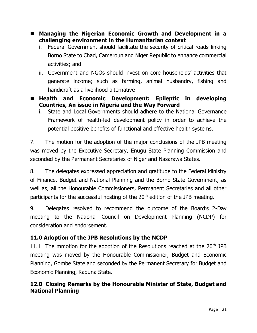- **Managing the Nigerian Economic Growth and Development in a challenging environment in the Humanitarian context**
	- i. Federal Government should facilitate the security of critical roads linking Borno State to Chad, Cameroun and Niger Republic to enhance commercial activities; and
	- ii. Government and NGOs should invest on core households' activities that generate income; such as farming, animal husbandry, fishing and handicraft as a livelihood alternative
- **Health and Economic Development: Epileptic in developing Countries, An issue in Nigeria and the Way Forward**
	- i. State and Local Governments should adhere to the National Governance Framework of health-led development policy in order to achieve the potential positive benefits of functional and effective health systems.

7. The motion for the adoption of the major conclusions of the JPB meeting was moved by the Executive Secretary, Enugu State Planning Commission and seconded by the Permanent Secretaries of Niger and Nasarawa States.

8. The delegates expressed appreciation and gratitude to the Federal Ministry of Finance, Budget and National Planning and the Borno State Government, as well as, all the Honourable Commissioners, Permanent Secretaries and all other participants for the successful hosting of the 20<sup>th</sup> edition of the JPB meeting.

9. Delegates resolved to recommend the outcome of the Board's 2-Day meeting to the National Council on Development Planning (NCDP) for consideration and endorsement.

# **11.0 Adoption of the JPB Resolutions by the NCDP**

11.1 The mmotion for the adoption of the Resolutions reached at the  $20<sup>th</sup>$  JPB meeting was moved by the Honourable Commissioner, Budget and Economic Planning, Gombe State and seconded by the Permanent Secretary for Budget and Economic Planning, Kaduna State.

# **12.0 Closing Remarks by the Honourable Minister of State, Budget and National Planning**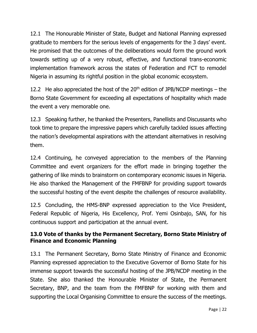12.1 The Honourable Minister of State, Budget and National Planning expressed gratitude to members for the serious levels of engagements for the 3 days' event. He promised that the outcomes of the deliberations would form the ground work towards setting up of a very robust, effective, and functional trans-economic implementation framework across the states of Federation and FCT to remodel Nigeria in assuming its rightful position in the global economic ecosystem.

12.2 He also appreciated the host of the  $20<sup>th</sup>$  edition of JPB/NCDP meetings – the Borno State Government for exceeding all expectations of hospitality which made the event a very memorable one.

12.3 Speaking further, he thanked the Presenters, Panellists and Discussants who took time to prepare the impressive papers which carefully tackled issues affecting the nation's developmental aspirations with the attendant alternatives in resolving them.

12.4 Continuing, he conveyed appreciation to the members of the Planning Committee and event organizers for the effort made in bringing together the gathering of like minds to brainstorm on contemporary economic issues in Nigeria. He also thanked the Management of the FMFBNP for providing support towards the successful hosting of the event despite the challenges of resource availability.

12.5 Concluding, the HMS-BNP expressed appreciation to the Vice President, Federal Republic of Nigeria, His Excellency, Prof. Yemi Osinbajo, SAN, for his continuous support and participation at the annual event.

# **13.0 Vote of thanks by the Permanent Secretary, Borno State Ministry of Finance and Economic Planning**

13.1 The Permanent Secretary, Borno State Ministry of Finance and Economic Planning expressed appreciation to the Executive Governor of Borno State for his immense support towards the successful hosting of the JPB/NCDP meeting in the State. She also thanked the Honourable Minister of State, the Permanent Secretary, BNP, and the team from the FMFBNP for working with them and supporting the Local Organising Committee to ensure the success of the meetings.